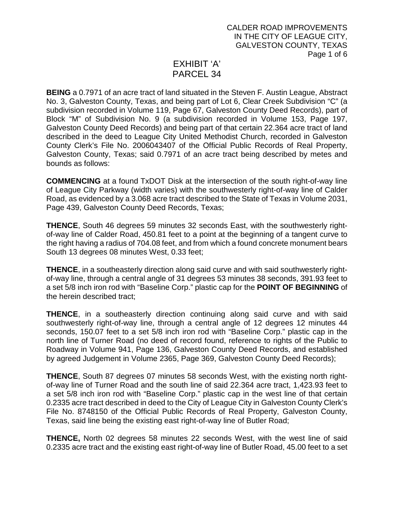## EXHIBIT 'A' PARCEL 34

**BEING** a 0.7971 of an acre tract of land situated in the Steven F. Austin League, Abstract No. 3, Galveston County, Texas, and being part of Lot 6, Clear Creek Subdivision "C" (a subdivision recorded in Volume 119, Page 67, Galveston County Deed Records), part of Block "M" of Subdivision No. 9 (a subdivision recorded in Volume 153, Page 197, Galveston County Deed Records) and being part of that certain 22.364 acre tract of land described in the deed to League City United Methodist Church, recorded in Galveston County Clerk's File No. 2006043407 of the Official Public Records of Real Property, Galveston County, Texas; said 0.7971 of an acre tract being described by metes and bounds as follows:

**COMMENCING** at a found TxDOT Disk at the intersection of the south right-of-way line of League City Parkway (width varies) with the southwesterly right-of-way line of Calder Road, as evidenced by a 3.068 acre tract described to the State of Texas in Volume 2031, Page 439, Galveston County Deed Records, Texas;

**THENCE**, South 46 degrees 59 minutes 32 seconds East, with the southwesterly rightof-way line of Calder Road, 450.81 feet to a point at the beginning of a tangent curve to the right having a radius of 704.08 feet, and from which a found concrete monument bears South 13 degrees 08 minutes West, 0.33 feet;

**THENCE**, in a southeasterly direction along said curve and with said southwesterly rightof-way line, through a central angle of 31 degrees 53 minutes 38 seconds, 391.93 feet to a set 5/8 inch iron rod with "Baseline Corp." plastic cap for the **POINT OF BEGINNING** of the herein described tract;

**THENCE**, in a southeasterly direction continuing along said curve and with said southwesterly right-of-way line, through a central angle of 12 degrees 12 minutes 44 seconds, 150.07 feet to a set 5/8 inch iron rod with "Baseline Corp." plastic cap in the north line of Turner Road (no deed of record found, reference to rights of the Public to Roadway in Volume 941, Page 136, Galveston County Deed Records, and established by agreed Judgement in Volume 2365, Page 369, Galveston County Deed Records);

**THENCE**, South 87 degrees 07 minutes 58 seconds West, with the existing north rightof-way line of Turner Road and the south line of said 22.364 acre tract, 1,423.93 feet to a set 5/8 inch iron rod with "Baseline Corp." plastic cap in the west line of that certain 0.2335 acre tract described in deed to the City of League City in Galveston County Clerk's File No. 8748150 of the Official Public Records of Real Property, Galveston County, Texas, said line being the existing east right-of-way line of Butler Road;

**THENCE,** North 02 degrees 58 minutes 22 seconds West, with the west line of said 0.2335 acre tract and the existing east right-of-way line of Butler Road, 45.00 feet to a set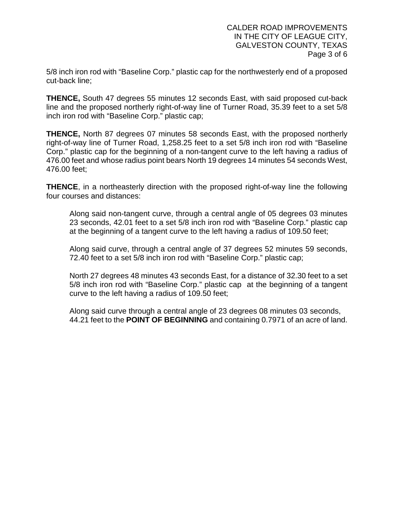5/8 inch iron rod with "Baseline Corp." plastic cap for the northwesterly end of a proposed cut-back line;

**THENCE,** South 47 degrees 55 minutes 12 seconds East, with said proposed cut-back line and the proposed northerly right-of-way line of Turner Road, 35.39 feet to a set 5/8 inch iron rod with "Baseline Corp." plastic cap;

**THENCE,** North 87 degrees 07 minutes 58 seconds East, with the proposed northerly right-of-way line of Turner Road, 1,258.25 feet to a set 5/8 inch iron rod with "Baseline Corp." plastic cap for the beginning of a non-tangent curve to the left having a radius of 476.00 feet and whose radius point bears North 19 degrees 14 minutes 54 seconds West, 476.00 feet;

**THENCE**, in a northeasterly direction with the proposed right-of-way line the following four courses and distances:

Along said non-tangent curve, through a central angle of 05 degrees 03 minutes 23 seconds, 42.01 feet to a set 5/8 inch iron rod with "Baseline Corp." plastic cap at the beginning of a tangent curve to the left having a radius of 109.50 feet;

Along said curve, through a central angle of 37 degrees 52 minutes 59 seconds, 72.40 feet to a set 5/8 inch iron rod with "Baseline Corp." plastic cap;

North 27 degrees 48 minutes 43 seconds East, for a distance of 32.30 feet to a set 5/8 inch iron rod with "Baseline Corp." plastic cap at the beginning of a tangent curve to the left having a radius of 109.50 feet;

Along said curve through a central angle of 23 degrees 08 minutes 03 seconds, 44.21 feet to the **POINT OF BEGINNING** and containing 0.7971 of an acre of land.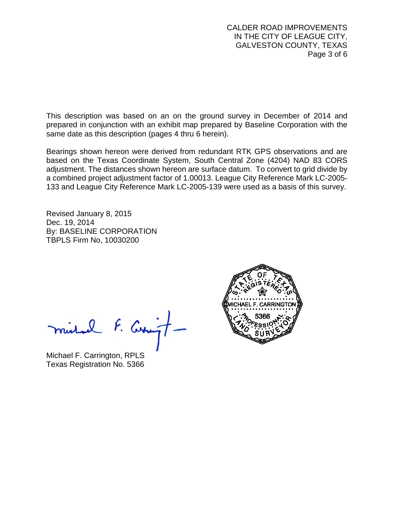CALDER ROAD IMPROVEMENTS IN THE CITY OF LEAGUE CITY, GALVESTON COUNTY, TEXAS Page 3 of 6

This description was based on an on the ground survey in December of 2014 and prepared in conjunction with an exhibit map prepared by Baseline Corporation with the same date as this description (pages 4 thru 6 herein).

Bearings shown hereon were derived from redundant RTK GPS observations and are based on the Texas Coordinate System, South Central Zone (4204) NAD 83 CORS adjustment. The distances shown hereon are surface datum. To convert to grid divide by a combined project adjustment factor of 1.00013. League City Reference Mark LC-2005- 133 and League City Reference Mark LC-2005-139 were used as a basis of this survey.

Revised January 8, 2015 Dec. 19, 2014 By: BASELINE CORPORATION TBPLS Firm No, 10030200

michael F. Curringt

Michael F. Carrington, RPLS Texas Registration No. 5366

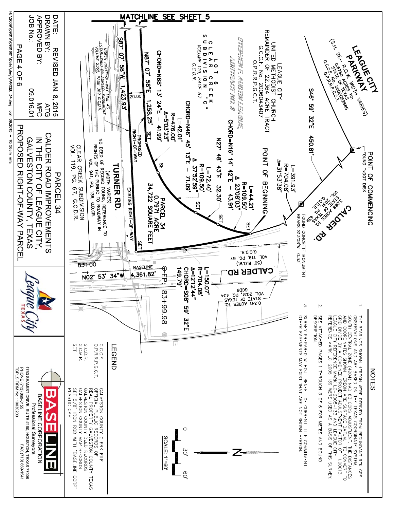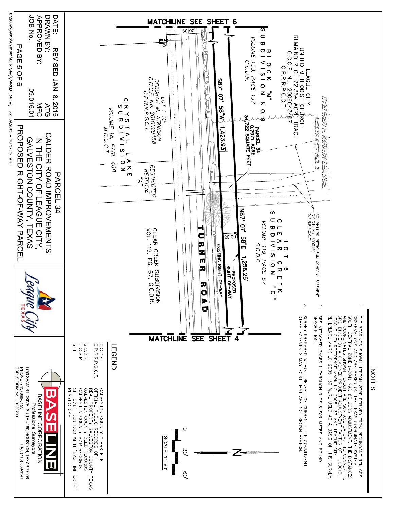